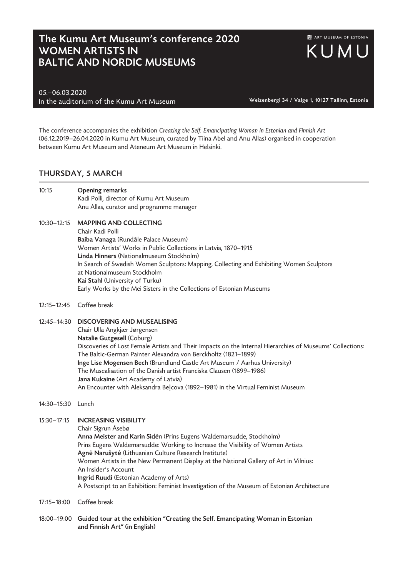## The Kumu Art Museum's conference 2020 WOMEN ARTISTS IN BALTIC AND NORDIC MUSEUMS

05.–06.03.2020 In the auditorium of the Kumu Art Museum Weizenbergi 34 / Valge 1, 10127 Tallinn, Estonia

The conference accompanies the exhibition *Creating the Self. Emancipating Woman in Estonian and Finnish Art* (06.12.2019–26.04.2020 in Kumu Art Museum, curated by Tiina Abel and Anu Allas) organised in cooperation between Kumu Art Museum and Ateneum Art Museum in Helsinki.

## THURSDAY, 5 MARCH

| 10:15       | <b>Opening remarks</b><br>Kadi Polli, director of Kumu Art Museum<br>Anu Allas, curator and programme manager                                                                                                                                                                                                                                                                                                                                   |
|-------------|-------------------------------------------------------------------------------------------------------------------------------------------------------------------------------------------------------------------------------------------------------------------------------------------------------------------------------------------------------------------------------------------------------------------------------------------------|
| 10:30-12:15 | <b>MAPPING AND COLLECTING</b><br>Chair Kadi Polli<br>Baiba Vanaga (Rundāle Palace Museum)<br>Women Artists' Works in Public Collections in Latvia, 1870-1915<br>Linda Hinners (Nationalmuseum Stockholm)<br>In Search of Swedish Women Sculptors: Mapping, Collecting and Exhibiting Women Sculptors<br>at Nationalmuseum Stockholm<br>Kai Stahl (University of Turku)<br>Early Works by the Mei Sisters in the Collections of Estonian Museums |
|             |                                                                                                                                                                                                                                                                                                                                                                                                                                                 |

12:15–12:45 Coffee break

12:45–14:30 DISCOVERING AND MUSEALISING Chair Ulla Angkjær Jørgensen Natalie Gutgesell (Coburg) Discoveries of Lost Female Artists and Their Impacts on the Internal Hierarchies of Museums' Collections: The Baltic-German Painter Alexandra von Berckholtz (1821–1899) Inge Lise Mogensen Bech (Brundlund Castle Art Museum / Aarhus University) The Musealisation of the Danish artist Franciska Clausen (1899–1986) Jana Kukaine (Art Academy of Latvia) An Encounter with Aleksandra Beļcova (1892–1981) in the Virtual Feminist Museum

14:30–15:30 Lunch

15:30–17:15 INCREASING VISIBILITY

Chair Sigrun Åsebø Anna Meister and Karin Sidén (Prins Eugens Waldemarsudde, Stockholm) Prins Eugens Waldemarsudde: Working to Increase the Visibility of Women Artists Agn**ė** Narušyt**ė** (Lithuanian Culture Research Institute) Women Artists in the New Permanent Display at the National Gallery of Art in Vilnius: An Insider's Account Ingrid Ruudi (Estonian Academy of Arts) A Postscript to an Exhibition: Feminist Investigation of the Museum of Estonian Architecture

- 17:15–18:00 Coffee break
- 18:00-19:00 Guided tour at the exhibition "Creating the Self. Emancipating Woman in Estonian and Finnish Art" (in English)